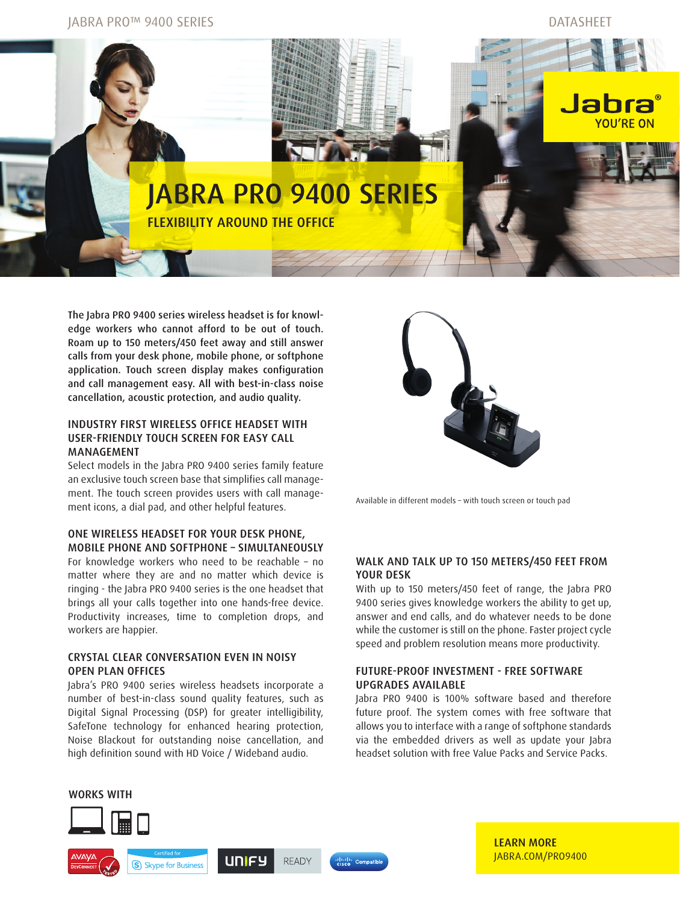

The Jabra PRO 9400 series wireless headset is for knowledge workers who cannot afford to be out of touch. Roam up to 150 meters/450 feet away and still answer calls from your desk phone, mobile phone, or softphone application. Touch screen display makes configuration and call management easy. All with best-in-class noise cancellation, acoustic protection, and audio quality.

## INDUSTRY FIRST WIRELESS OFFICE HEADSET WITH USER-FRIENDLY TOUCH SCREEN FOR EASY CALL MANAGEMENT

Select models in the Jabra PRO 9400 series family feature an exclusive touch screen base that simplifies call management. The touch screen provides users with call management icons, a dial pad, and other helpful features.

## ONE WIRELESS HEADSET FOR YOUR DESK PHONE, MOBILE PHONE AND SOFTPHONE – SIMULTANEOUSLY

For knowledge workers who need to be reachable – no matter where they are and no matter which device is ringing - the Jabra PRO 9400 series is the one headset that brings all your calls together into one hands-free device. Productivity increases, time to completion drops, and workers are happier.

## CRYSTAL CLEAR CONVERSATION EVEN IN NOISY OPEN PLAN OFFICES

Jabra's PRO 9400 series wireless headsets incorporate a number of best-in-class sound quality features, such as Digital Signal Processing (DSP) for greater intelligibility, SafeTone technology for enhanced hearing protection, Noise Blackout for outstanding noise cancellation, and high definition sound with HD Voice / Wideband audio.



Available in different models – with touch screen or touch pad

## WALK AND TALK UP TO 150 METERS/450 FEET FROM YOUR DESK

With up to 150 meters/450 feet of range, the Jabra PRO 9400 series gives knowledge workers the ability to get up, answer and end calls, and do whatever needs to be done while the customer is still on the phone. Faster project cycle speed and problem resolution means more productivity.

# FUTURE-PROOF INVESTMENT - FREE SOFTWARE UPGRADES AVAILABLE

Jabra PRO 9400 is 100% software based and therefore future proof. The system comes with free software that allows you to interface with a range of softphone standards via the embedded drivers as well as update your Jabra headset solution with free Value Packs and Service Packs.



LEARN MORE [JABRA.COM/PRO9400](http://JABRA.COM/PRO9400)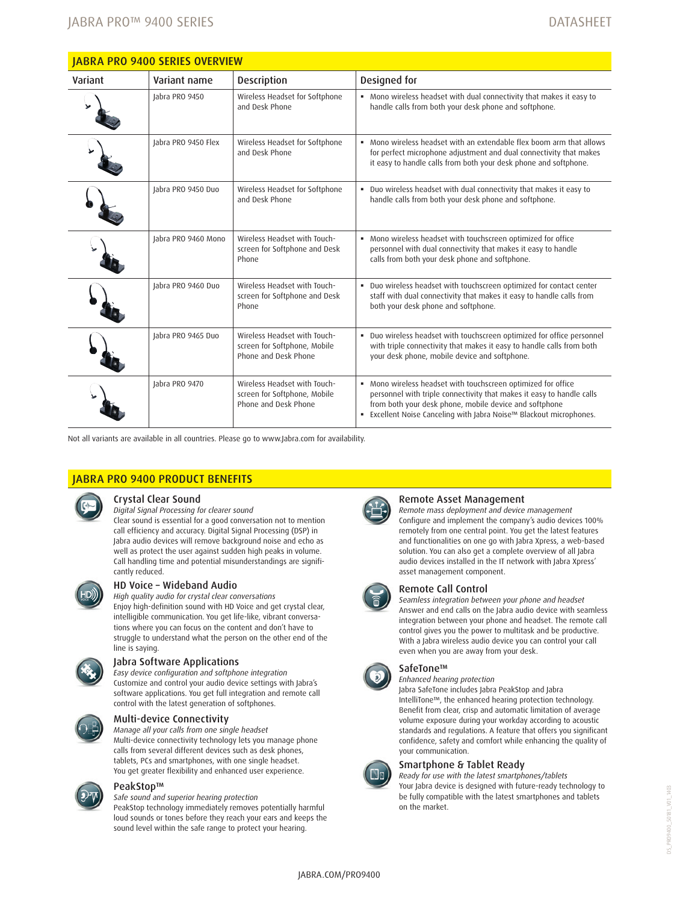| <b>JABRA PRO 9400 SERIES OVERVIEW</b> |                     |                                                                                      |                                                                                                                                                                                                                                                                         |
|---------------------------------------|---------------------|--------------------------------------------------------------------------------------|-------------------------------------------------------------------------------------------------------------------------------------------------------------------------------------------------------------------------------------------------------------------------|
| Variant                               | Variant name        | <b>Description</b>                                                                   | Designed for                                                                                                                                                                                                                                                            |
|                                       | labra PRO 9450      | Wireless Headset for Softphone<br>and Desk Phone                                     | . Mono wireless headset with dual connectivity that makes it easy to<br>handle calls from both your desk phone and softphone.                                                                                                                                           |
|                                       | Jabra PRO 9450 Flex | Wireless Headset for Softphone<br>and Desk Phone                                     | • Mono wireless headset with an extendable flex boom arm that allows<br>for perfect microphone adjustment and dual connectivity that makes<br>it easy to handle calls from both your desk phone and softphone.                                                          |
|                                       | labra PRO 9450 Duo  | Wireless Headset for Softphone<br>and Desk Phone                                     | . Duo wireless headset with dual connectivity that makes it easy to<br>handle calls from both your desk phone and softphone.                                                                                                                                            |
|                                       | Jabra PRO 9460 Mono | Wireless Headset with Touch-<br>screen for Softphone and Desk<br>Phone               | . Mono wireless headset with touchscreen optimized for office<br>personnel with dual connectivity that makes it easy to handle<br>calls from both your desk phone and softphone.                                                                                        |
|                                       | labra PRO 9460 Duo  | Wireless Headset with Touch-<br>screen for Softphone and Desk<br>Phone               | . Duo wireless headset with touchscreen optimized for contact center<br>staff with dual connectivity that makes it easy to handle calls from<br>both your desk phone and softphone.                                                                                     |
|                                       | labra PRO 9465 Duo  | Wireless Headset with Touch-<br>screen for Softphone, Mobile<br>Phone and Desk Phone | . Duo wireless headset with touchscreen optimized for office personnel<br>with triple connectivity that makes it easy to handle calls from both<br>your desk phone, mobile device and softphone.                                                                        |
|                                       | labra PRO 9470      | Wireless Headset with Touch-<br>screen for Softphone, Mobile<br>Phone and Desk Phone | . Mono wireless headset with touchscreen optimized for office<br>personnel with triple connectivity that makes it easy to handle calls<br>from both your desk phone, mobile device and softphone<br>■ Excellent Noise Canceling with Jabra Noise™ Blackout microphones. |

Not all variants are available in all countries. Please go to [www.Jabra.com](http://www.Jabra.com) for availability.

# JABRA PRO 9400 PRODUCT BENEFITS



#### Crystal Clear Sound

*Digital Signal Processing for clearer sound* Clear sound is essential for a good conversation not to mention call efficiency and accuracy. Digital Signal Processing (DSP) in Jabra audio devices will remove background noise and echo as well as protect the user against sudden high peaks in volume. Call handling time and potential misunderstandings are significantly reduced.



# HD Voice – Wideband Audio

*High quality audio for crystal clear conversations* Enjoy high-definition sound with HD Voice and get crystal clear, intelligible communication. You get life-like, vibrant conversations where you can focus on the content and don't have to struggle to understand what the person on the other end of the line is saying.



### Jabra Software Applications

*Easy device configuration and softphone integration* Customize and control your audio device settings with Jabra's software applications. You get full integration and remote call control with the latest generation of softphones.



#### Multi-device Connectivity

*Manage all your calls from one single headset* Multi-device connectivity technology lets you manage phone calls from several different devices such as desk phones, tablets, PCs and smartphones, with one single headset. You get greater flexibility and enhanced user experience.



## PeakStop™

*Safe sound and superior hearing protection*

PeakStop technology immediately removes potentially harmful loud sounds or tones before they reach your ears and keeps the sound level within the safe range to protect your hearing.



### Remote Asset Management

*Remote mass deployment and device management* Configure and implement the company's audio devices 100% remotely from one central point. You get the latest features and functionalities on one go with Jabra Xpress, a web-based solution. You can also get a complete overview of all Jabra audio devices installed in the IT network with Jabra Xpress' asset management component.



### Remote Call Control

*Seamless integration between your phone and headset* Answer and end calls on the Jabra audio device with seamless integration between your phone and headset. The remote call control gives you the power to multitask and be productive. With a Jabra wireless audio device you can control your call even when you are away from your desk.



#### SafeTone™ *Enhanced hearing protection*

Jabra SafeTone includes Jabra PeakStop and Jabra IntelliTone™, the enhanced hearing protection technology. Benefit from clear, crisp and automatic limitation of average volume exposure during your workday according to acoustic standards and regulations. A feature that offers you significant confidence, safety and comfort while enhancing the quality of your communication.

### Smartphone & Tablet Ready

*Ready for use with the latest smartphones/tablets* Your Jabra device is designed with future-ready technology to be fully compatible with the latest smartphones and tablets on the market.